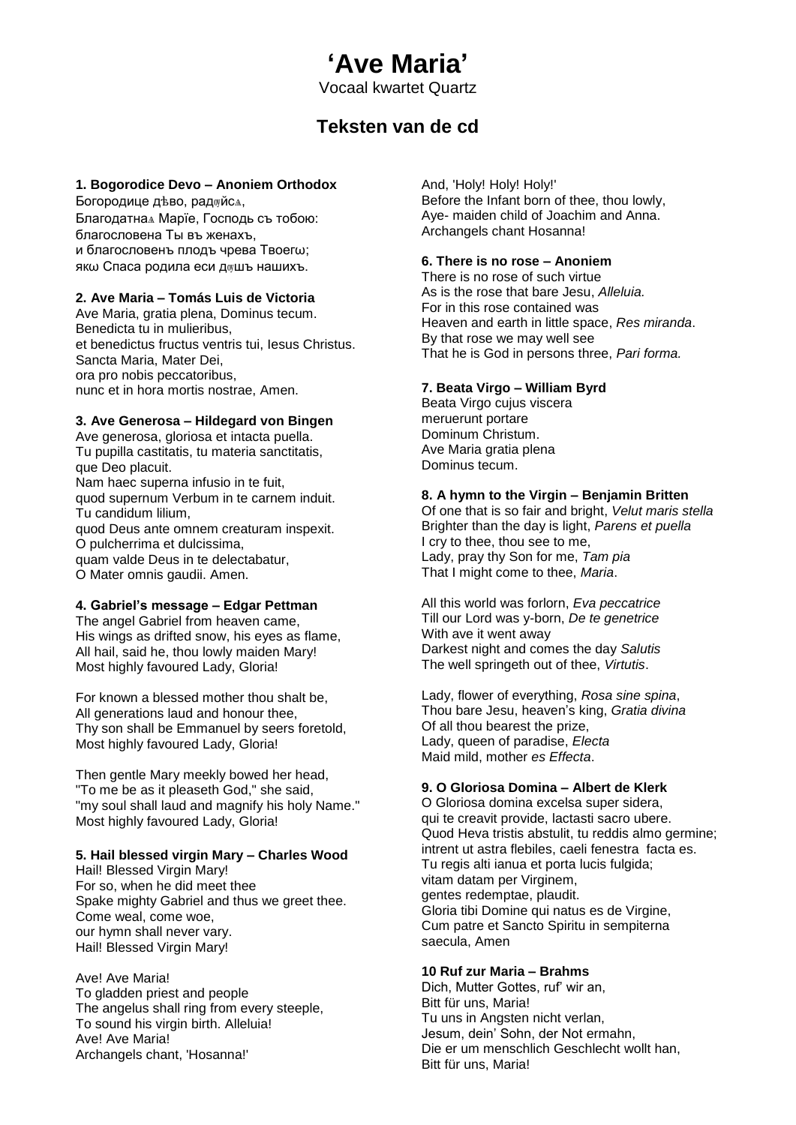# **'Ave Maria'**

Vocaal kwartet Quartz

# **Teksten van de cd**

#### **1. Bogorodice Devo – Anoniem Orthodox**

Богородице дѣво, радѹйсѧ,

Благодатнаѧ Марїе, Господь съ тобою: благословена Ты въ женахъ, и благословенъ плодъ чрева Твоегω; якω Спаса родила еси душъ нашихъ.

#### **2. Ave Maria – Tomás Luis de Victoria**

Ave Maria, gratia plena, Dominus tecum. Benedicta tu in mulieribus, et benedictus fructus ventris tui, Iesus Christus. Sancta Maria, Mater Dei, ora pro nobis peccatoribus, nunc et in hora mortis nostrae, Amen.

#### **3. Ave Generosa – Hildegard von Bingen**

Ave generosa, gloriosa et intacta puella. Tu pupilla castitatis, tu materia sanctitatis, que Deo placuit. Nam haec superna infusio in te fuit, quod supernum Verbum in te carnem induit. Tu candidum lilium, quod Deus ante omnem creaturam inspexit. O pulcherrima et dulcissima, quam valde Deus in te delectabatur,

O Mater omnis gaudii. Amen.

#### **4. Gabriel's message – Edgar Pettman**

The angel Gabriel from heaven came, His wings as drifted snow, his eyes as flame, All hail, said he, thou lowly maiden Mary! Most highly favoured Lady, Gloria!

For known a blessed mother thou shalt be, All generations laud and honour thee, Thy son shall be Emmanuel by seers foretold, Most highly favoured Lady, Gloria!

Then gentle Mary meekly bowed her head, "To me be as it pleaseth God," she said, "my soul shall laud and magnify his holy Name." Most highly favoured Lady, Gloria!

#### **5. Hail blessed virgin Mary – Charles Wood**

Hail! Blessed Virgin Mary! For so, when he did meet thee Spake mighty Gabriel and thus we greet thee. Come weal, come woe, our hymn shall never vary. Hail! Blessed Virgin Mary!

Ave! Ave Maria! To gladden priest and people The angelus shall ring from every steeple, To sound his virgin birth. Alleluia! Ave! Ave Maria! Archangels chant, 'Hosanna!'

# And, 'Holy! Holy! Holy!'

Before the Infant born of thee, thou lowly, Aye- maiden child of Joachim and Anna. Archangels chant Hosanna!

#### **6. There is no rose – Anoniem**

There is no rose of such virtue As is the rose that bare Jesu, *Alleluia.* For in this rose contained was Heaven and earth in little space, *Res miranda*. By that rose we may well see That he is God in persons three, *Pari forma.*

#### **7. Beata Virgo – William Byrd**

Beata Virgo cujus viscera meruerunt portare Dominum Christum. Ave Maria gratia plena Dominus tecum.

#### **8. A hymn to the Virgin – Benjamin Britten**

Of one that is so fair and bright, *Velut maris stella* Brighter than the day is light, *Parens et puella* I cry to thee, thou see to me, Lady, pray thy Son for me, *Tam pia* That I might come to thee, *Maria*.

All this world was forlorn, *Eva peccatrice* Till our Lord was y-born, *De te genetrice* With ave it went away Darkest night and comes the day *Salutis* The well springeth out of thee, *Virtutis*.

Lady, flower of everything, *Rosa sine spina*, Thou bare Jesu, heaven's king, *Gratia divina* Of all thou bearest the prize, Lady, queen of paradise, *Electa* Maid mild, mother *es Effecta*.

#### **9. O Gloriosa Domina – Albert de Klerk**

O Gloriosa domina excelsa super sidera, qui te creavit provide, lactasti sacro ubere. Quod Heva tristis abstulit, tu reddis almo germine; intrent ut astra flebiles, caeli fenestra facta es. Tu regis alti ianua et porta lucis fulgida; vitam datam per Virginem, gentes redemptae, plaudit. Gloria tibi Domine qui natus es de Virgine, Cum patre et Sancto Spiritu in sempiterna saecula, Amen

# **10 Ruf zur Maria – Brahms**

Dich, Mutter Gottes, ruf' wir an, Bitt für uns, Maria! Tu uns in Angsten nicht verlan, Jesum, dein' Sohn, der Not ermahn, Die er um menschlich Geschlecht wollt han, Bitt für uns, Maria!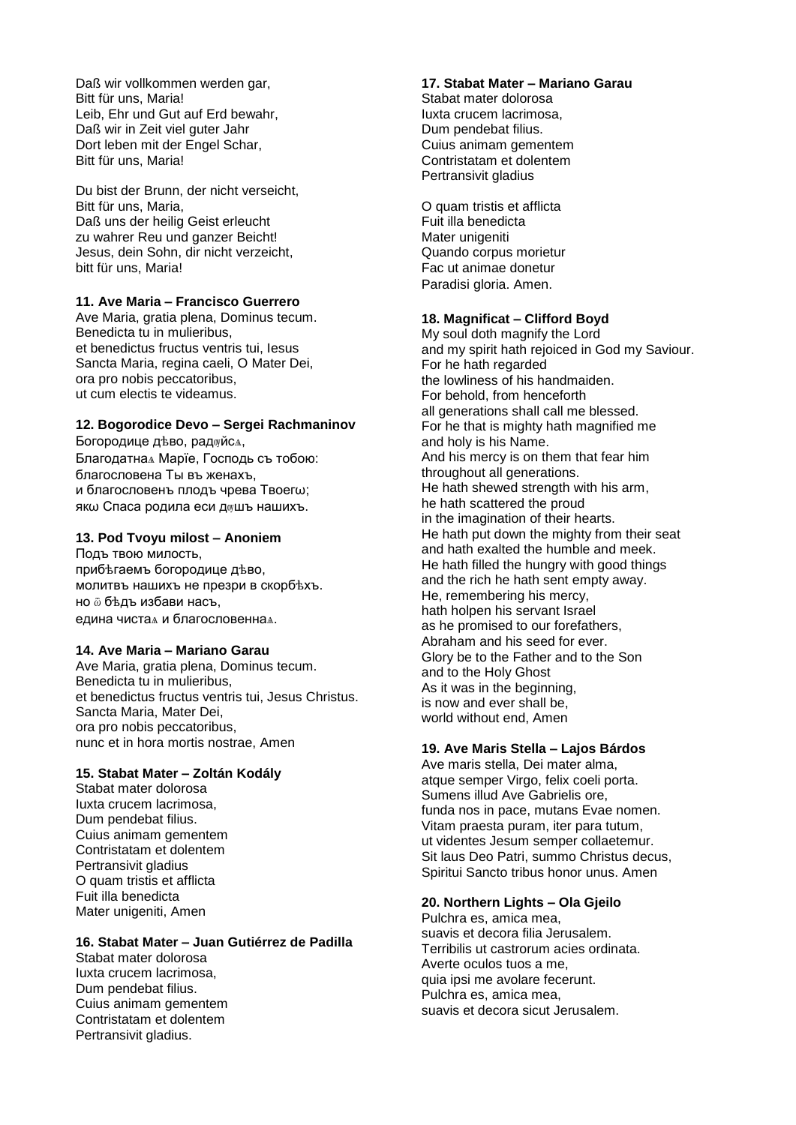Daß wir vollkommen werden gar, Bitt für uns, Maria! Leib, Ehr und Gut auf Erd bewahr, Daß wir in Zeit viel guter Jahr Dort leben mit der Engel Schar, Bitt für uns, Maria!

Du bist der Brunn, der nicht verseicht, Bitt für uns, Maria, Daß uns der heilig Geist erleucht zu wahrer Reu und ganzer Beicht! Jesus, dein Sohn, dir nicht verzeicht, bitt für uns, Maria!

### **11. Ave Maria – Francisco Guerrero**

Ave Maria, gratia plena, Dominus tecum. Benedicta tu in mulieribus, et benedictus fructus ventris tui, Iesus Sancta Maria, regina caeli, O Mater Dei, ora pro nobis peccatoribus, ut cum electis te videamus.

#### **12. Bogorodice Devo – Sergei Rachmaninov**

Богородице дѣво, радѹйсѧ, Благодатнаѧ Марїе, Господь съ тобою: благословена Ты въ женахъ, и благословенъ плодъ чрева Твоегω; якω Спаса родила еси душъ нашихъ.

#### **13. Pod Tvoyu milost – Anoniem**

Подъ твою милость, прибѣгаемъ богородице дѣво, молитвъ нашихъ не презри в скорбѣхъ. но ѿ бѣдъ избави насъ, едина чистаѧ и благословеннаѧ.

#### **14. Ave Maria – Mariano Garau**

Ave Maria, gratia plena, Dominus tecum. Benedicta tu in mulieribus, et benedictus fructus ventris tui, Jesus Christus. Sancta Maria, Mater Dei, ora pro nobis peccatoribus, nunc et in hora mortis nostrae, Amen

#### **15. Stabat Mater – Zoltán Kodály**

Stabat mater dolorosa Iuxta crucem lacrimosa, Dum pendebat filius. Cuius animam gementem Contristatam et dolentem Pertransivit gladius O quam tristis et afflicta Fuit illa benedicta Mater unigeniti, Amen

#### **16. Stabat Mater – Juan Gutiérrez de Padilla**

Stabat mater dolorosa Iuxta crucem lacrimosa, Dum pendebat filius. Cuius animam gementem Contristatam et dolentem Pertransivit gladius.

#### **17. Stabat Mater – Mariano Garau**

Stabat mater dolorosa Iuxta crucem lacrimosa, Dum pendebat filius. Cuius animam gementem Contristatam et dolentem Pertransivit gladius

O quam tristis et afflicta Fuit illa benedicta Mater unigeniti Quando corpus morietur Fac ut animae donetur Paradisi gloria. Amen.

#### **18. Magnificat – Clifford Boyd**

My soul doth magnify the Lord and my spirit hath rejoiced in God my Saviour. For he hath regarded the lowliness of his handmaiden. For behold, from henceforth all generations shall call me blessed. For he that is mighty hath magnified me and holy is his Name. And his mercy is on them that fear him throughout all generations. He hath shewed strength with his arm, he hath scattered the proud in the imagination of their hearts. He hath put down the mighty from their seat and hath exalted the humble and meek. He hath filled the hungry with good things and the rich he hath sent empty away. He, remembering his mercy, hath holpen his servant Israel as he promised to our forefathers, Abraham and his seed for ever. Glory be to the Father and to the Son and to the Holy Ghost As it was in the beginning, is now and ever shall be, world without end, Amen

#### **19. Ave Maris Stella – Lajos Bárdos**

Ave maris stella, Dei mater alma, atque semper Virgo, felix coeli porta. Sumens illud Ave Gabrielis ore, funda nos in pace, mutans Evae nomen. Vitam praesta puram, iter para tutum, ut videntes Jesum semper collaetemur. Sit laus Deo Patri, summo Christus decus, Spiritui Sancto tribus honor unus. Amen

#### **20. Northern Lights – Ola Gjeilo**

Pulchra es, amica mea, suavis et decora filia Jerusalem. Terribilis ut castrorum acies ordinata. Averte oculos tuos a me, quia ipsi me avolare fecerunt. Pulchra es, amica mea, suavis et decora sicut Jerusalem.